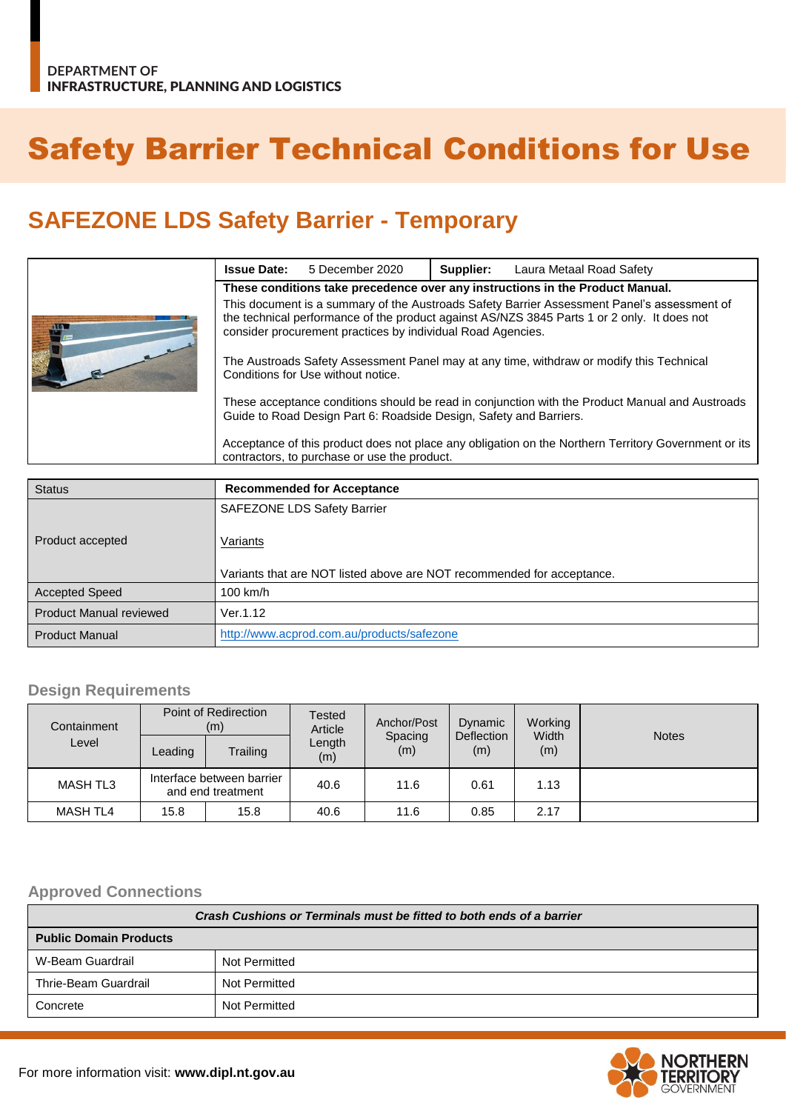# Safety Barrier Technical Conditions for Use

## **SAFEZONE LDS Safety Barrier - Temporary**

|  | <b>Issue Date:</b>                                                                                                                                                                                                                                        | 5 December 2020                              | Supplier: | Laura Metaal Road Safety                                                                             |  |  |  |
|--|-----------------------------------------------------------------------------------------------------------------------------------------------------------------------------------------------------------------------------------------------------------|----------------------------------------------|-----------|------------------------------------------------------------------------------------------------------|--|--|--|
|  | These conditions take precedence over any instructions in the Product Manual.                                                                                                                                                                             |                                              |           |                                                                                                      |  |  |  |
|  | This document is a summary of the Austroads Safety Barrier Assessment Panel's assessment of<br>the technical performance of the product against AS/NZS 3845 Parts 1 or 2 only. It does not<br>consider procurement practices by individual Road Agencies. |                                              |           |                                                                                                      |  |  |  |
|  | The Austroads Safety Assessment Panel may at any time, withdraw or modify this Technical<br>Conditions for Use without notice.                                                                                                                            |                                              |           |                                                                                                      |  |  |  |
|  | These acceptance conditions should be read in conjunction with the Product Manual and Austroads<br>Guide to Road Design Part 6: Roadside Design, Safety and Barriers.                                                                                     |                                              |           |                                                                                                      |  |  |  |
|  |                                                                                                                                                                                                                                                           | contractors, to purchase or use the product. |           | Acceptance of this product does not place any obligation on the Northern Territory Government or its |  |  |  |

| <b>Status</b>                  | <b>Recommended for Acceptance</b>                                      |
|--------------------------------|------------------------------------------------------------------------|
|                                | <b>SAFEZONE LDS Safety Barrier</b>                                     |
| Product accepted               | Variants                                                               |
|                                | Variants that are NOT listed above are NOT recommended for acceptance. |
| <b>Accepted Speed</b>          | 100 km/h                                                               |
| <b>Product Manual reviewed</b> | Ver.1.12                                                               |
| <b>Product Manual</b>          | http://www.acprod.com.au/products/safezone                             |

#### **Design Requirements**

| Containment     | Point of Redirection<br>(m)                    |          | Tested<br>Article | Anchor/Post    | Dynamic           | Working      |              |
|-----------------|------------------------------------------------|----------|-------------------|----------------|-------------------|--------------|--------------|
| Level           | Leading                                        | Trailing | Length<br>(m)     | Spacing<br>(m) | Deflection<br>(m) | Width<br>(m) | <b>Notes</b> |
| <b>MASH TL3</b> | Interface between barrier<br>and end treatment |          | 40.6              | 11.6           | 0.61              | 1.13         |              |
| <b>MASH TL4</b> | 15.8                                           | 15.8     | 40.6              | 11.6           | 0.85              | 2.17         |              |

#### **Approved Connections**

| Crash Cushions or Terminals must be fitted to both ends of a barrier |               |  |  |
|----------------------------------------------------------------------|---------------|--|--|
| <b>Public Domain Products</b>                                        |               |  |  |
| W-Beam Guardrail                                                     | Not Permitted |  |  |
| Thrie-Beam Guardrail                                                 | Not Permitted |  |  |
| Concrete                                                             | Not Permitted |  |  |

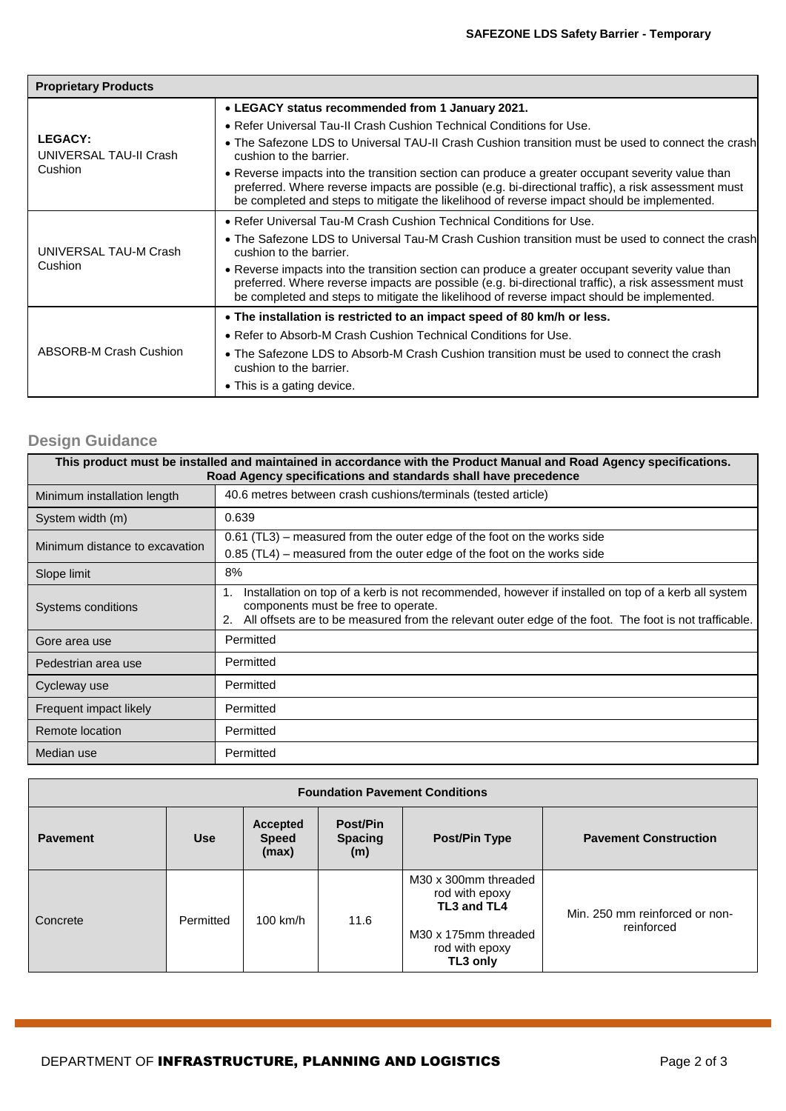| <b>Proprietary Products</b>                         |                                                                                                                                                                                                                                                                                                       |  |  |  |  |
|-----------------------------------------------------|-------------------------------------------------------------------------------------------------------------------------------------------------------------------------------------------------------------------------------------------------------------------------------------------------------|--|--|--|--|
|                                                     | • LEGACY status recommended from 1 January 2021.                                                                                                                                                                                                                                                      |  |  |  |  |
|                                                     | • Refer Universal Tau-II Crash Cushion Technical Conditions for Use.                                                                                                                                                                                                                                  |  |  |  |  |
| <b>LEGACY:</b><br>UNIVERSAL TAU-II Crash<br>Cushion | • The Safezone LDS to Universal TAU-II Crash Cushion transition must be used to connect the crash<br>cushion to the barrier.                                                                                                                                                                          |  |  |  |  |
|                                                     | • Reverse impacts into the transition section can produce a greater occupant severity value than<br>preferred. Where reverse impacts are possible (e.g. bi-directional traffic), a risk assessment must<br>be completed and steps to mitigate the likelihood of reverse impact should be implemented. |  |  |  |  |
|                                                     | • Refer Universal Tau-M Crash Cushion Technical Conditions for Use.                                                                                                                                                                                                                                   |  |  |  |  |
| UNIVERSAL TAU-M Crash                               | • The Safezone LDS to Universal Tau-M Crash Cushion transition must be used to connect the crash<br>cushion to the barrier.                                                                                                                                                                           |  |  |  |  |
| Cushion                                             | • Reverse impacts into the transition section can produce a greater occupant severity value than<br>preferred. Where reverse impacts are possible (e.g. bi-directional traffic), a risk assessment must<br>be completed and steps to mitigate the likelihood of reverse impact should be implemented. |  |  |  |  |
|                                                     | • The installation is restricted to an impact speed of 80 km/h or less.                                                                                                                                                                                                                               |  |  |  |  |
| ABSORB-M Crash Cushion                              | • Refer to Absorb-M Crash Cushion Technical Conditions for Use.                                                                                                                                                                                                                                       |  |  |  |  |
|                                                     | • The Safezone LDS to Absorb-M Crash Cushion transition must be used to connect the crash<br>cushion to the barrier.                                                                                                                                                                                  |  |  |  |  |
|                                                     | • This is a gating device.                                                                                                                                                                                                                                                                            |  |  |  |  |

### **Design Guidance**

| This product must be installed and maintained in accordance with the Product Manual and Road Agency specifications.<br>Road Agency specifications and standards shall have precedence |                                                                                                                                                                                                                                                                            |  |  |  |
|---------------------------------------------------------------------------------------------------------------------------------------------------------------------------------------|----------------------------------------------------------------------------------------------------------------------------------------------------------------------------------------------------------------------------------------------------------------------------|--|--|--|
| Minimum installation length                                                                                                                                                           | 40.6 metres between crash cushions/terminals (tested article)                                                                                                                                                                                                              |  |  |  |
| System width (m)                                                                                                                                                                      | 0.639                                                                                                                                                                                                                                                                      |  |  |  |
| Minimum distance to excavation                                                                                                                                                        | 0.61 (TL3) – measured from the outer edge of the foot on the works side<br>0.85 (TL4) – measured from the outer edge of the foot on the works side                                                                                                                         |  |  |  |
| Slope limit                                                                                                                                                                           | 8%                                                                                                                                                                                                                                                                         |  |  |  |
| Systems conditions                                                                                                                                                                    | Installation on top of a kerb is not recommended, however if installed on top of a kerb all system<br>$\mathbf{1}$ .<br>components must be free to operate.<br>All offsets are to be measured from the relevant outer edge of the foot. The foot is not trafficable.<br>2. |  |  |  |
| Gore area use                                                                                                                                                                         | Permitted                                                                                                                                                                                                                                                                  |  |  |  |
| Pedestrian area use                                                                                                                                                                   | Permitted                                                                                                                                                                                                                                                                  |  |  |  |
| Cycleway use                                                                                                                                                                          | Permitted                                                                                                                                                                                                                                                                  |  |  |  |
| Frequent impact likely                                                                                                                                                                | Permitted                                                                                                                                                                                                                                                                  |  |  |  |
| Remote location                                                                                                                                                                       | Permitted                                                                                                                                                                                                                                                                  |  |  |  |
| Median use                                                                                                                                                                            | Permitted                                                                                                                                                                                                                                                                  |  |  |  |

| <b>Foundation Pavement Conditions</b> |            |                                          |                                          |                                                                                                             |                                              |  |
|---------------------------------------|------------|------------------------------------------|------------------------------------------|-------------------------------------------------------------------------------------------------------------|----------------------------------------------|--|
| <b>Pavement</b>                       | <b>Use</b> | <b>Accepted</b><br><b>Speed</b><br>(max) | <b>Post/Pin</b><br><b>Spacing</b><br>(m) | <b>Post/Pin Type</b>                                                                                        | <b>Pavement Construction</b>                 |  |
| Concrete                              | Permitted  | $100$ km/h                               | 11.6                                     | M30 x 300mm threaded<br>rod with epoxy<br>TL3 and TL4<br>M30 x 175mm threaded<br>rod with epoxy<br>TL3 only | Min. 250 mm reinforced or non-<br>reinforced |  |